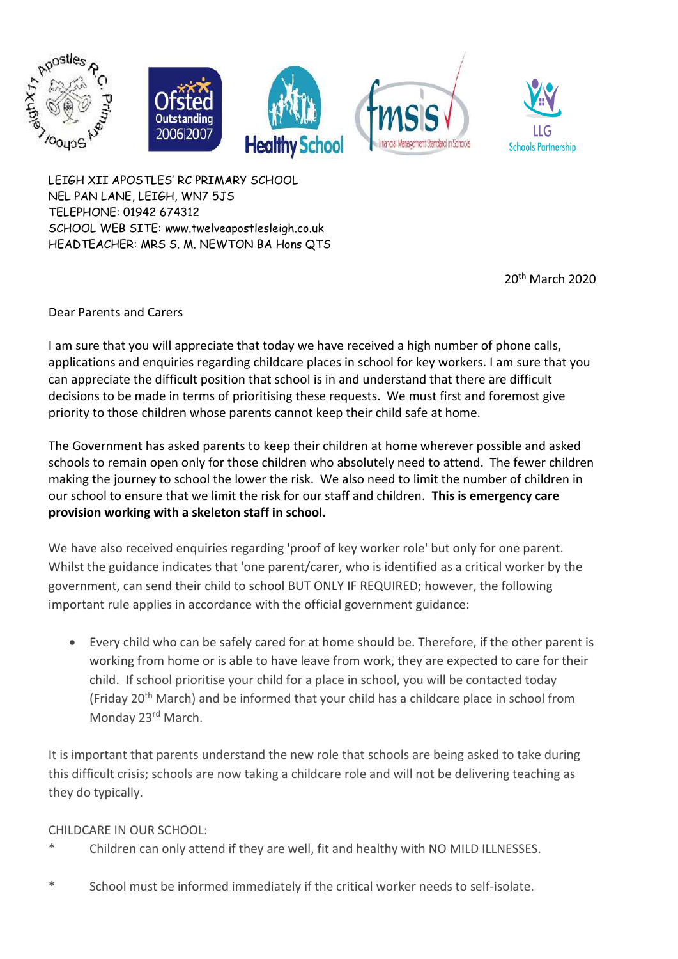



20th March 2020

Dear Parents and Carers

I am sure that you will appreciate that today we have received a high number of phone calls, applications and enquiries regarding childcare places in school for key workers. I am sure that you can appreciate the difficult position that school is in and understand that there are difficult decisions to be made in terms of prioritising these requests. We must first and foremost give priority to those children whose parents cannot keep their child safe at home.

The Government has asked parents to keep their children at home wherever possible and asked schools to remain open only for those children who absolutely need to attend. The fewer children making the journey to school the lower the risk. We also need to limit the number of children in our school to ensure that we limit the risk for our staff and children. **This is emergency care provision working with a skeleton staff in school.**

We have also received enquiries regarding 'proof of key worker role' but only for one parent. Whilst the guidance indicates that 'one parent/carer, who is identified as a critical worker by the government, can send their child to school BUT ONLY IF REQUIRED; however, the following important rule applies in accordance with the official government guidance:

• Every child who can be safely cared for at home should be. Therefore, if the other parent is working from home or is able to have leave from work, they are expected to care for their child. If school prioritise your child for a place in school, you will be contacted today (Friday 20<sup>th</sup> March) and be informed that your child has a childcare place in school from Monday 23rd March.

It is important that parents understand the new role that schools are being asked to take during this difficult crisis; schools are now taking a childcare role and will not be delivering teaching as they do typically.

## CHILDCARE IN OUR SCHOOL:

- Children can only attend if they are well, fit and healthy with NO MILD ILLNESSES.
- \* School must be informed immediately if the critical worker needs to self-isolate.